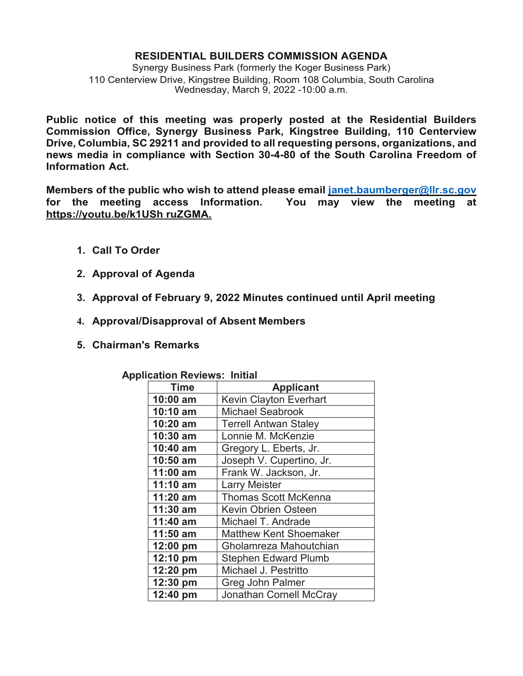## **RESIDENTIAL BUILDERS COMMISSION AGENDA**

Synergy Business Park (formerly the Koger Business Park) 110 Centerview Drive, Kingstree Building, Room 108 Columbia, South Carolina Wednesday, March 9, 2022 -10:00 a.m.

**Public notice of this meeting was properly posted at the Residential Builders Commission Office, Synergy Business Park, Kingstree Building, 110 Centerview Drive, Columbia, SC 29211 and provided to all requesting persons, organizations, and news media in compliance with Section 30-4-80 of the South Carolina Freedom of Information Act.**

**Members of the public who wish to attend please email [janet.baumberger@llr.sc.gov](mailto:janet.baumberger@llr.sc.gov) for the meeting access Information. You may view the meeting at https://youtu.be/k1USh ruZGMA.**

- **1. Call To Order**
- **2. Approval of Agenda**
- **3. Approval of February 9, 2022 Minutes continued until April meeting**
- **4. Approval/Disapproval of Absent Members**
- **5. Chairman's Remarks**

| Time       | <b>Applicant</b>               |
|------------|--------------------------------|
| 10:00 am   | Kevin Clayton Everhart         |
| 10:10 am   | <b>Michael Seabrook</b>        |
| 10:20 am   | <b>Terrell Antwan Staley</b>   |
| 10:30 am   | Lonnie M. McKenzie             |
| 10:40 am   | Gregory L. Eberts, Jr.         |
| 10:50 am   | Joseph V. Cupertino, Jr.       |
| 11:00 am   | Frank W. Jackson, Jr.          |
| 11:10 am   | <b>Larry Meister</b>           |
| 11:20 am   | <b>Thomas Scott McKenna</b>    |
| 11:30 am   | Kevin Obrien Osteen            |
| 11:40 am   | Michael T. Andrade             |
| $11:50$ am | <b>Matthew Kent Shoemaker</b>  |
| $12:00$ pm | Gholamreza Mahoutchian         |
| 12:10 pm   | <b>Stephen Edward Plumb</b>    |
| 12:20 pm   | Michael J. Pestritto           |
| 12:30 pm   | <b>Greg John Palmer</b>        |
| 12:40 pm   | <b>Jonathan Cornell McCray</b> |

 **Application Reviews: Initial**